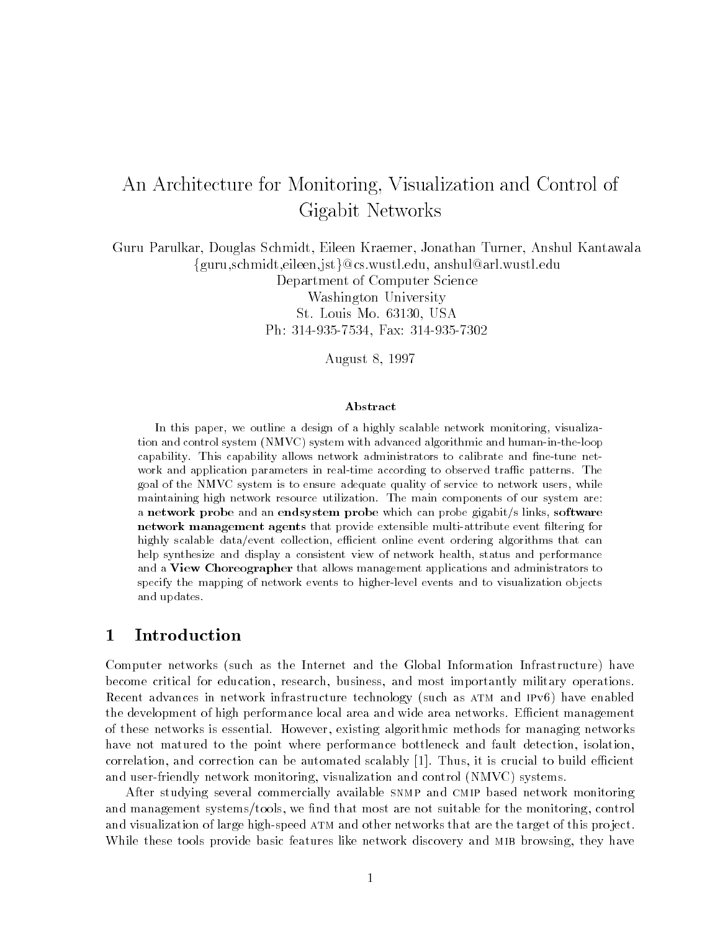# An Architecture for Monitoring, Visualization and Control of Gigabit Networks

Guru Parulkar, Douglas Schmidt, Eileen Kraemer, Jonathan Turner, Anshul Kantawala fguru,schmidt,eileen,jstg@cs.wustl.edu, anshul@arl.wustl.edu

> Department of Computer Science Washington University St. Louis Mo. 63130, USA Ph: 314-935-7534, Fax: 314-935-7302

> > August 8, 1997

#### Abstract

In this paper, we outline a design of a highly scalable network monitoring, visualization and control system (NMVC) system with advanced algorithmic and human-in-the-loopcapability. This capability allows network administrators to calibrate and fine-tune network and application parameters in real-time according to observed traffic patterns. The goal of the NMVC system is to ensure adequate quality of service to network users, whilemaintaining high network resource utilization. The main components of our system are:a network probe and an endsystem probe which can probe gigabit/s links, software network management agents that provide extensible multi-attribute event filtering for highly scalable data/event collection, efficient online event ordering algorithms that can help synthesize and display a consistent view of network health, status and performanceand a View Choreographer that allows management applications and administrators to specify the mapping of network events to higher-level events and to visualization objectsand updates.

## 1 Introduction

Computer networks (such as the Internet and the Global Information Infrastructure) have become critical for education, research, business, and most importantly military operations. Recent advances in network infrastructure technology (such as atm and ipv6) have enabled the development of high performance local area and wide area networks. Efficient management of these networks is essential. However, existing algorithmic methods for managing networks have not matured to the point where performance bottleneck and fault detection, isolation, correlation, and correction can be automated scalably  $[1]$ . Thus, it is crucial to build efficient and user-friendly network monitoring, visualization and control (NMVC) systems.

After studying several commercially available snmp and cmip based network monitoring and management systems/tools, we find that most are not suitable for the monitoring, control and visualization of large high-speed ATM and other networks that are the target of this project. While these tools provide basic features like network discovery and MIB browsing, they have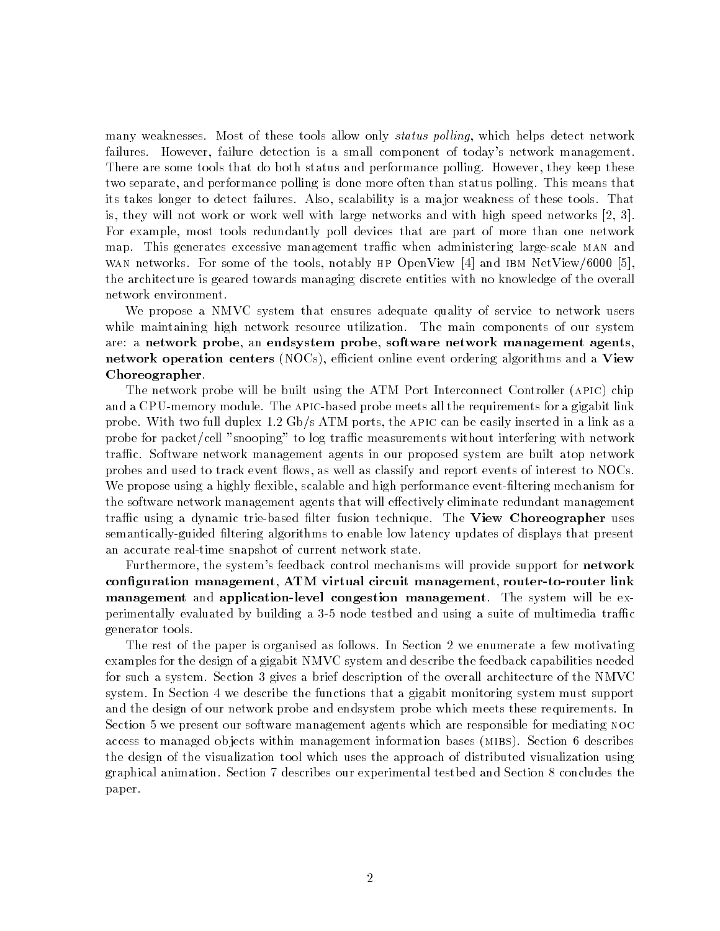many weaknesses. Most of these tools allow only *status polling*, which helps detect network failures. However, failure detection is a small component of today's network management. There are some tools that do both status and performance polling. However, they keep these two separate, and performance polling is done more often than status polling. This means that its takes longer to detect failures. Also, scalability is a ma jor weakness of these tools. That is, they will not work or work well with large networks and with high speed networks [2, 3]. For example, most tools redundantly poll devices that are part of more than one network map. This generates excessive management traffic when administering large-scale MAN and wan networks. For some of the tools, notably hp OpenView [4] and ibm NetView/6000 [5], the architecture is geared towards managing discrete entities with no knowledge of the overall network environment.

We propose a NMVC system that ensures adequate quality of service to network users while maintaining high network resource utilization. The main components of our system are: a network probe, an endsystem probe, software network management agents, network operation centers (NOCs), efficient online event ordering algorithms and a View Choreographer.

The network probe will be built using the ATM Port Interconnect Controller (apic) chip and a CPU-memory module. The apic-based probe meets all the requirements for a gigabit link probe. With two full duplex 1.2 Gb/s ATM ports, the apic can be easily inserted in a link as a probe for packet/cell "snooping" to log traffic measurements without interfering with network traffic. Software network management agents in our proposed system are built atop network probes and used to track event flows, as well as classify and report events of interest to NOCs. We propose using a highly flexible, scalable and high performance event-filtering mechanism for the software network management agents that will effectively eliminate redundant management traffic using a dynamic trie-based filter fusion technique. The View Choreographer uses semantically-guided ltering algorithms to enable low latency updates of displays that present an accurate real-time snapshot of current network state.

Furthermore, the system's feedback control mechanisms will provide support for network configuration management, ATM virtual circuit management, router-to-router link management and application-level congestion management. The system will be experimentally evaluated by building a 3-5 node testbed and using a suite of multimedia traffic generator tools.

The rest of the paper is organised as follows. In Section 2 we enumerate a few motivating examples for the design of a gigabit NMVC system and describe the feedback capabilities needed for such a system. Section 3 gives a brief description of the overall architecture of the NMVC system. In Section 4 we describe the functions that a gigabit monitoring system must support and the design of our network probe and endsystem probe which meets these requirements. In Section 5 we present our software management agents which are responsible for mediating noc access to managed ob jects within management information bases (mibs). Section 6 describes the design of the visualization tool which uses the approach of distributed visualization using graphical animation. Section 7 describes our experimental testbed and Section 8 concludes the paper.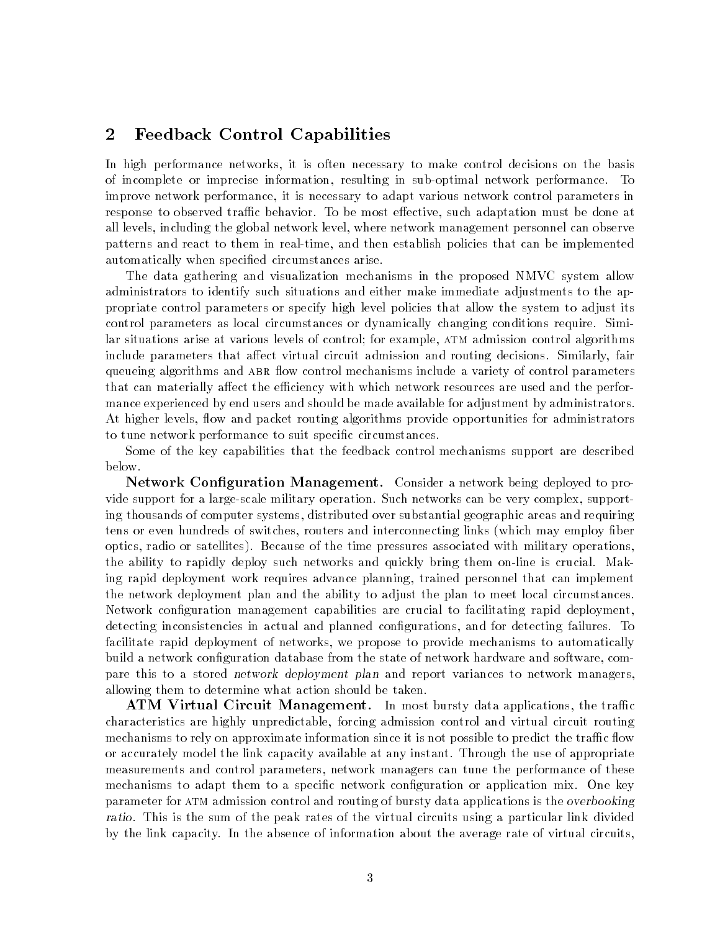### 2 Feedback Control Capabilities

In high performance networks, it is often necessary to make control decisions on the basis of incomplete or imprecise information, resulting in sub-optimal network performance. To improve network performance, it is necessary to adapt various network control parameters in response to observed traffic behavior. To be most effective, such adaptation must be done at all levels, including the global network level, where network management personnel can observe patterns and react to them in real-time, and then establish policies that can be implemented automatically when specied circumstances arise.

The data gathering and visualization mechanisms in the proposed NMVC system allow administrators to identify such situations and either make immediate adjustments to the appropriate control parameters or specify high level policies that allow the system to adjust its control parameters as local circumstances or dynamically changing conditions require. Similar situations arise at various levels of control; for example, ATM admission control algorithms include parameters that affect virtual circuit admission and routing decisions. Similarly, fair queueing algorithms and ABR flow control mechanisms include a variety of control parameters that can materially affect the efficiency with which network resources are used and the performance experienced by end users and should be made available for adjustment by administrators. At higher levels, flow and packet routing algorithms provide opportunities for administrators to tune network performance to suit specific circumstances.

Some of the key capabilities that the feedback control mechanisms support are described below.

Network Configuration Management. Consider a network being deployed to provide support for a large-scale military operation. Such networks can be very complex, supporting thousands of computer systems, distributed over substantial geographic areas and requiring tens or even hundreds of switches, routers and interconnecting links (which may employ ber optics, radio or satellites). Because of the time pressures associated with military operations, the ability to rapidly deploy such networks and quickly bring them on-line is crucial. Making rapid deployment work requires advance planning, trained personnel that can implement the network deployment plan and the ability to adjust the plan to meet local circumstances. Network configuration management capabilities are crucial to facilitating rapid deployment. detecting inconsistencies in actual and planned configurations, and for detecting failures. To facilitate rapid deployment of networks, we propose to provide mechanisms to automatically build a network configuration database from the state of network hardware and software, compare this to a stored network deployment plan and report variances to network managers, allowing them to determine what action should be taken.

 $ATM$  Virtual Circuit Management. In most bursty data applications, the traffic characteristics are highly unpredictable, forcing admission control and virtual circuit routing mechanisms to rely on approximate information since it is not possible to predict the traffic flow or accurately model the link capacity available at any instant. Through the use of appropriate measurements and control parameters, network managers can tune the performance of these mechanisms to adapt them to a specific network configuration or application mix. One key parameter for ATM admission control and routing of bursty data applications is the overbooking ratio. This is the sum of the peak rates of the virtual circuits using a particular link divided by the link capacity. In the absence of information about the average rate of virtual circuits,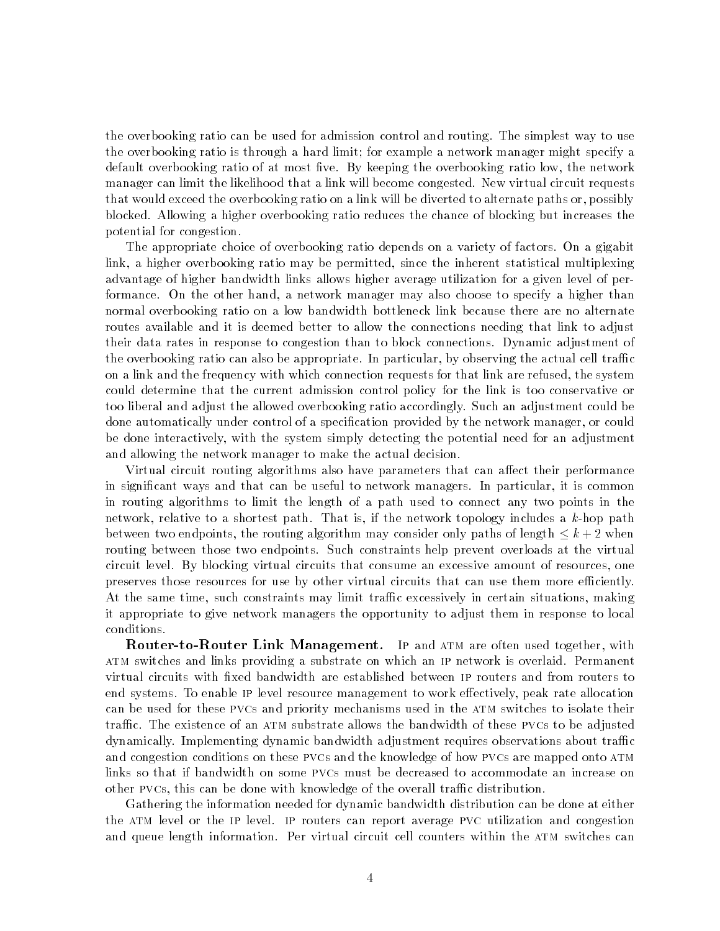the overbooking ratio can be used for admission control and routing. The simplest way to use the overbooking ratio is through a hard limit; for example a network manager might specify a default overbooking ratio of at most five. By keeping the overbooking ratio low, the network manager can limit the likelihood that a link will become congested. New virtual circuit requests that would exceed the overbooking ratio on a link will be diverted to alternate paths or, possibly blocked. Allowing a higher overbooking ratio reduces the chance of blocking but increases the potential for congestion.

The appropriate choice of overbooking ratio depends on a variety of factors. On a gigabit link, a higher overbooking ratio may be permitted, since the inherent statistical multiplexing advantage of higher bandwidth links allows higher average utilization for a given level of performance. On the other hand, a network manager may also choose to specify a higher than normal overbooking ratio on a low bandwidth bottleneck link because there are no alternate routes available and it is deemed better to allow the connections needing that link to adjust their data rates in response to congestion than to block connections. Dynamic adjustment of the overbooking ratio can also be appropriate. In particular, by observing the actual cell traffic on a link and the frequency with which connection requests for that link are refused, the system could determine that the current admission control policy for the link is too conservative or too liberal and adjust the allowed overbooking ratio accordingly. Such an adjustment could be done automatically under control of a specication provided by the network manager, or could be done interactively, with the system simply detecting the potential need for an adjustment and allowing the network manager to make the actual decision.

Virtual circuit routing algorithms also have parameters that can affect their performance in signicant ways and that can be useful to network managers. In particular, it is common in routing algorithms to limit the length of a path used to connect any two points in the network, relative to a shortest path. That is, if the network topology includes a k-hop path between two endpoints, the routing algorithm may consider only paths of length  $\leq k+2$  when routing between those two endpoints. Such constraints help prevent overloads at the virtual circuit level. By blocking virtual circuits that consume an excessive amount of resources, one preserves those resources for use by other virtual circuits that can use them more efficiently. At the same time, such constraints may limit traffic excessively in certain situations, making it appropriate to give network managers the opportunity to adjust them in response to local conditions.

**Router-to-Router Link Management.** Ip and ATM are often used together, with atm switches and links providing a substrate on which an ip network is overlaid. Permanent virtual circuits with fixed bandwidth are established between IP routers and from routers to end systems. To enable IP level resource management to work effectively, peak rate allocation can be used for these PVCs and priority mechanisms used in the ATM switches to isolate their traffic. The existence of an ATM substrate allows the bandwidth of these PVCs to be adjusted dynamically. Implementing dynamic bandwidth adjustment requires observations about traffic and congestion conditions on these PVCs and the knowledge of how PVCs are mapped onto ATM links so that if bandwidth on some pvcs must be decreased to accommodate an increase on other PVCs, this can be done with knowledge of the overall traffic distribution.

Gathering the information needed for dynamic bandwidth distribution can be done at either the atm level or the ip level. ip routers can report average pvc utilization and congestion and queue length information. Per virtual circuit cell counters within the ATM switches can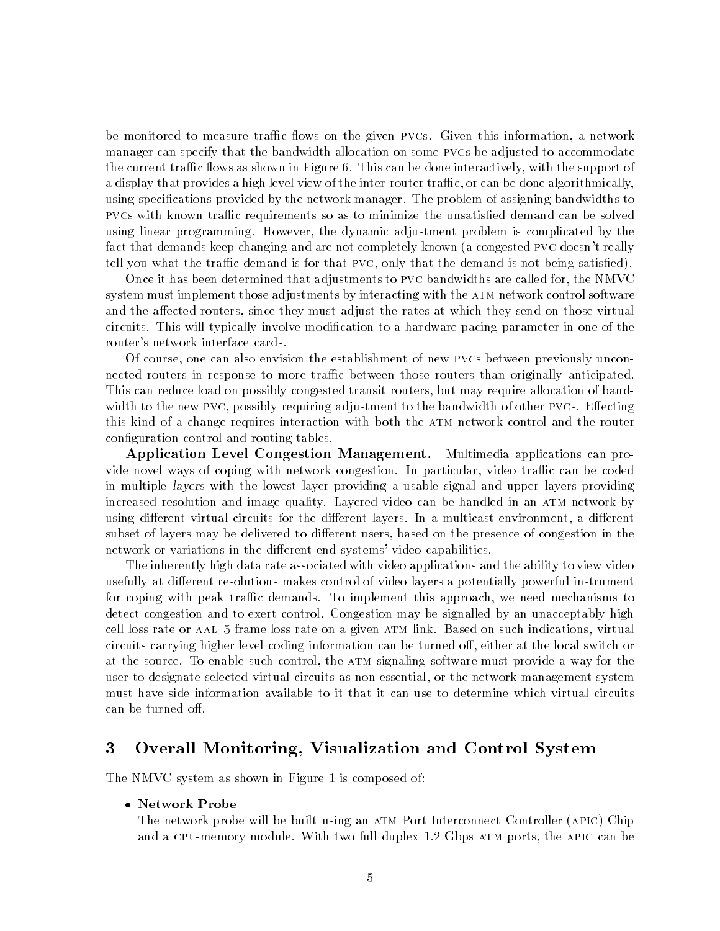be monitored to measure traffic flows on the given PVCs. Given this information, a network manager can specify that the bandwidth allocation on some pvcs be adjusted to accommodate the current traffic flows as shown in Figure 6. This can be done interactively, with the support of a display that provides a high level view of the inter-router traffic, or can be done algorithmically, using specifications provided by the network manager. The problem of assigning bandwidths to PVCs with known traffic requirements so as to minimize the unsatisfied demand can be solved using linear programming. However, the dynamic adjustment problem is complicated by the fact that demands keep changing and are not completely known (a congested pvc doesn't really tell you what the traffic demand is for that PVC, only that the demand is not being satisfied).

Once it has been determined that adjustments to pvc bandwidths are called for, the NMVC system must implement those adjustments by interacting with the ATM network control software and the affected routers, since they must adjust the rates at which they send on those virtual circuits. This will typically involve modication to a hardware pacing parameter in one of the router's network interface cards.

Of course, one can also envision the establishment of new pvcs between previously unconnected routers in response to more traffic between those routers than originally anticipated. This can reduce load on possibly congested transit routers, but may require allocation of bandwidth to the new PVC, possibly requiring adjustment to the bandwidth of other PVCs. Effecting this kind of a change requires interaction with both the atm network control and the router conguration control and routing tables.

Application Level Congestion Management. Multimedia applications can provide novel ways of coping with network congestion. In particular, video traffic can be coded in multiple layers with the lowest layer providing a usable signal and upper layers providing increased resolution and image quality. Layered video can be handled in an atm network by using different virtual circuits for the different layers. In a multicast environment, a different subset of layers may be delivered to different users, based on the presence of congestion in the network or variations in the different end systems' video capabilities.

The inherently high data rate associated with video applications and the ability to view video usefully at different resolutions makes control of video layers a potentially powerful instrument for coping with peak traffic demands. To implement this approach, we need mechanisms to detect congestion and to exert control. Congestion may be signalled by an unacceptably high cell loss rate or aal 5 frame loss rate on a given atm link. Based on such indications, virtual circuits carrying higher level coding information can be turned off, either at the local switch or at the source. To enable such control, the atm signaling software must provide a way for the user to designate selected virtual circuits as non-essential, or the network management system must have side information available to it that it can use to determine which virtual circuits can be turned off.

### 3 Overall Monitoring, Visualization and Control System

The NMVC system as shown in Figure 1 is composed of:

#### Network Probe

The network probe will be built using an atm Port Interconnect Controller (apic) Chip and a CPU-memory module. With two full duplex 1.2 Gbps ATM ports, the APIC can be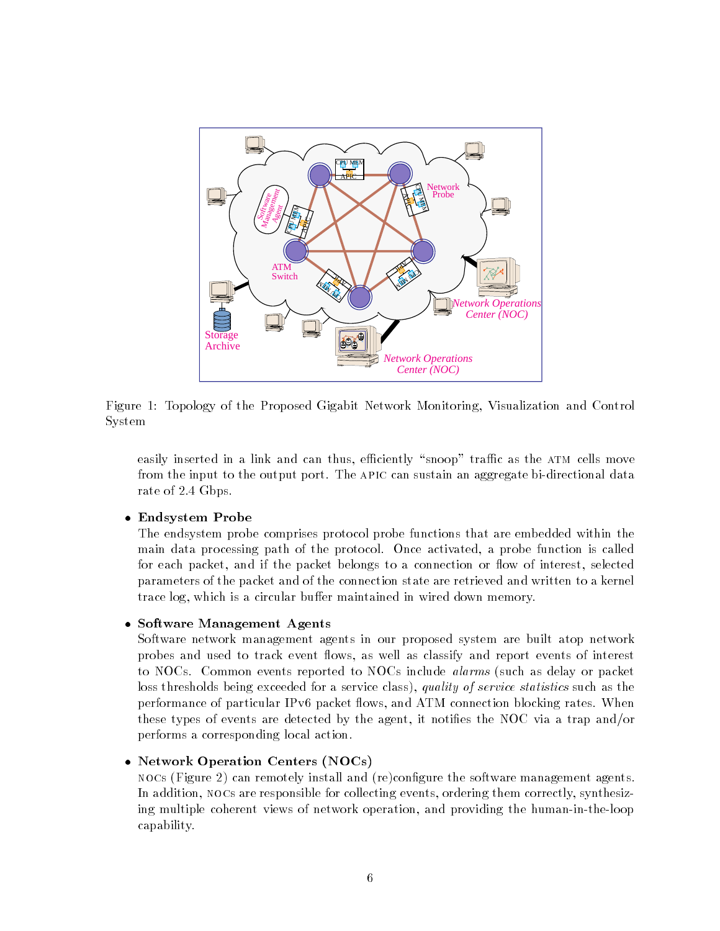



easily inserted in a link and can thus, efficiently "snoop" traffic as the ATM cells move from the input to the output port. The apic can sustain an aggregate bi-directional data rate of 2.4 Gbps.

### Endsystem Probe

The endsystem probe comprises protocol probe functions that are embedded within the main data processing path of the protocol. Once activated, a probe function is called for each packet, and if the packet belongs to a connection or flow of interest, selected parameters of the packet and of the connection state are retrieved and written to a kernel trace log, which is a circular buffer maintained in wired down memory.

#### • Software Management Agents

Software network management agents in our proposed system are built atop network probes and used to track event flows, as well as classify and report events of interest to NOCs. Common events reported to NOCs include alarms (such as delay or packet loss thresholds being exceeded for a service class), quality of service statistics such as the performance of particular IPv6 packet flows, and ATM connection blocking rates. When these types of events are detected by the agent, it noties the NOC via a trap and/or performs a corresponding local action.

### • Network Operation Centers (NOCs)

nocs (Figure 2) can remotely install and (re)congure the software management agents. In addition, nocs are responsible for collecting events, ordering them correctly, synthesizing multiple coherent views of network operation, and providing the human-in-the-loop capability.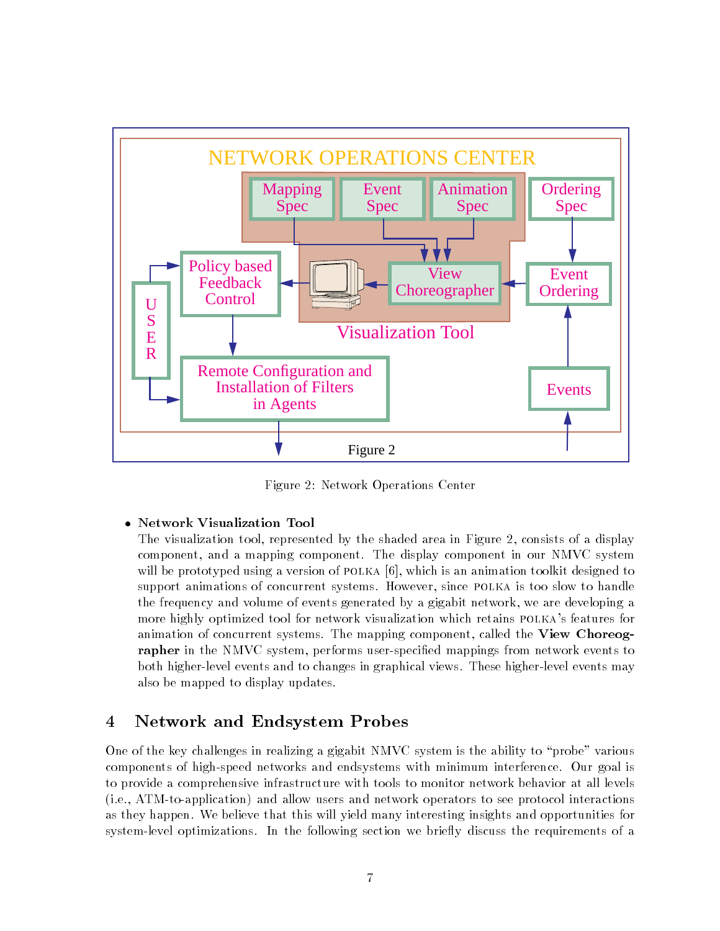

Figure 2: Network Operations Center

### Network Visualization Tool

The visualization tool, represented by the shaded area in Figure 2, consists of a display component, and a mapping component. The display component in our NMVC system will be prototyped using a version of POLKA [6], which is an animation toolkit designed to support animations of concurrent systems. However, since polka is too slow to handle the frequency and volume of events generated by a gigabit network, we are developing a more highly optimized tool for network visualization which retains polka's features for animation of concurrent systems. The mapping component, called the View Choreographer in the NMVC system, performs user-specied mappings from network events to both higher-level events and to changes in graphical views. These higher-level events may also be mapped to display updates.

#### $\overline{4}$ Network and Endsystem Probes

One of the key challenges in realizing a gigabit  $NMC$  system is the ability to "probe" various components of high-speed networks and endsystems with minimum interference. Our goal is to provide a comprehensive infrastructure with tools to monitor network behavior at all levels (i.e., ATM-to-application) and allow users and network operators to see protocol interactions as they happen. We believe that this will yield many interesting insights and opportunities for system-level optimizations. In the following section we briefly discuss the requirements of a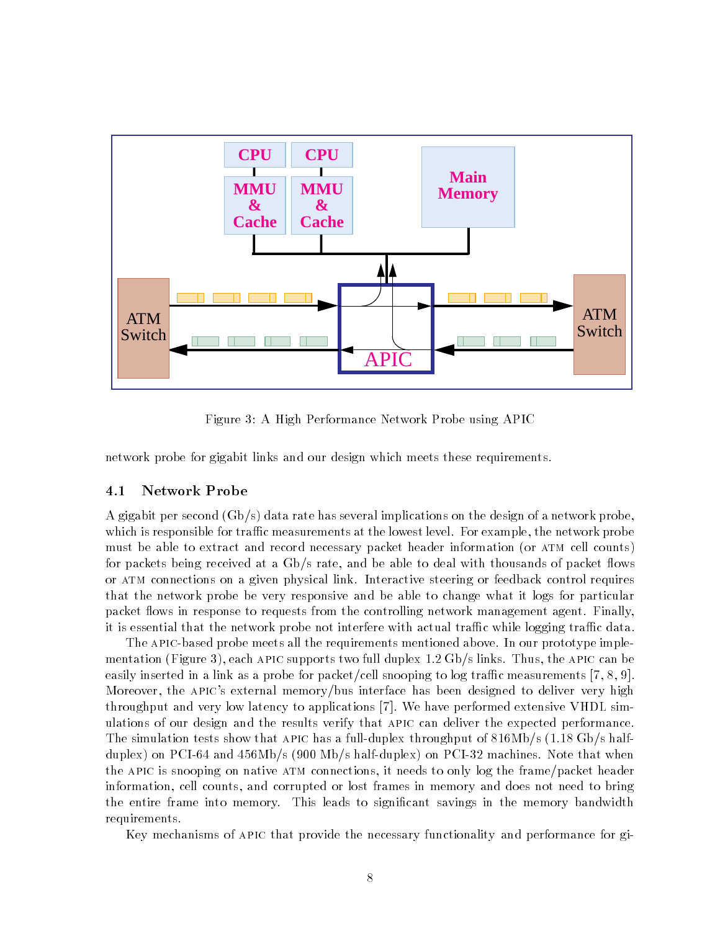

Figure 3: A High Performance Network Probe using APIC

network probe for gigabit links and our design which meets these requirements.

#### 4.1 Network Probe

A gigabit per second (Gb/s) data rate has several implications on the design of a network probe, which is responsible for traffic measurements at the lowest level. For example, the network probe must be able to extract and record necessary packet header information (or ATM cell counts) for packets being received at a  $Gb/s$  rate, and be able to deal with thousands of packet flows or atm connections on a given physical link. Interactive steering or feedback control requires that the network probe be very responsive and be able to change what it logs for particular packet flows in response to requests from the controlling network management agent. Finally, it is essential that the network probe not interfere with actual traffic while logging traffic data.

The apic-based probe meets all the requirements mentioned above. In our prototype implementation (Figure 3), each apic supports two full duplex 1.2 Gb/s links. Thus, the apic can be easily inserted in a link as a probe for packet/cell snooping to log traffic measurements [7, 8, 9]. Moreover, the apic's external memory/bus interface has been designed to deliver very high throughput and very low latency to applications [7]. We have performed extensive VHDL simulations of our design and the results verify that apic can deliver the expected performance. The simulation tests show that apic has a full-duplex throughput of 816Mb/s (1.18 Gb/s halfduplex) on PCI-64 and 456Mb/s (900 Mb/s half-duplex) on PCI-32 machines. Note that when the apic is snooping on native atm connections, it needs to only log the frame/packet header information, cell counts, and corrupted or lost frames in memory and does not need to bring the entire frame into memory. This leads to signicant savings in the memory bandwidth requirements.

Key mechanisms of apic that provide the necessary functionality and performance for gi-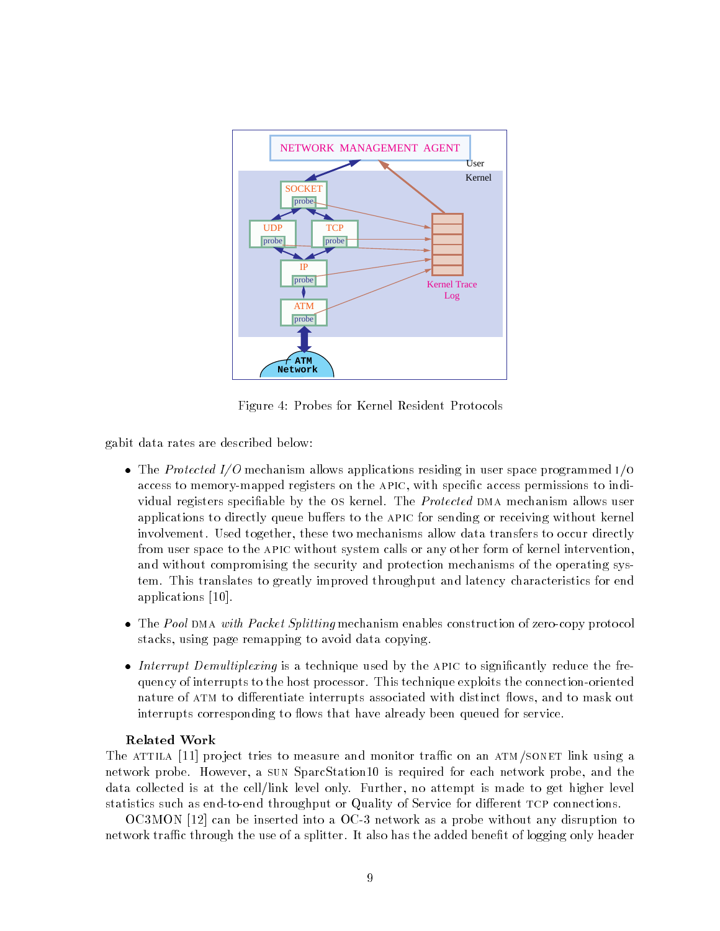

Figure 4: Probes for Kernel Resident Protocols

gabit data rates are described below:

- The Protected I/O mechanism allows applications residing in user space programmed  $I/O$ access to memory-mapped registers on the APIC, with specific access permissions to individual registers specifiable by the OS kernel. The *Protected* DMA mechanism allows user applications to directly queue buffers to the APIC for sending or receiving without kernel involvement. Used together, these two mechanisms allow data transfers to occur directly from user space to the apic without system calls or any other form of kernel intervention, and without compromising the security and protection mechanisms of the operating system. This translates to greatly improved throughput and latency characteristics for end applications [10].
- The Pool DMA with Packet Splitting mechanism enables construction of zero-copy protocol stacks, using page remapping to avoid data copying.
- Interrupt Demultiplexing is a technique used by the APIC to significantly reduce the frequency of interrupts to the host processor. This technique exploits the connection-oriented nature of ATM to differentiate interrupts associated with distinct flows, and to mask out interrupts corresponding to flows that have already been queued for service.

#### Related Work

The ATTILA  $[11]$  project tries to measure and monitor traffic on an ATM/SONET link using a network probe. However, a sun SparcStation10 is required for each network probe, and the data collected is at the cell/link level only. Further, no attempt is made to get higher level statistics such as end-to-end throughput or Quality of Service for different TCP connections.

OC3MON [12] can be inserted into a OC-3 network as a probe without any disruption to network traffic through the use of a splitter. It also has the added benefit of logging only header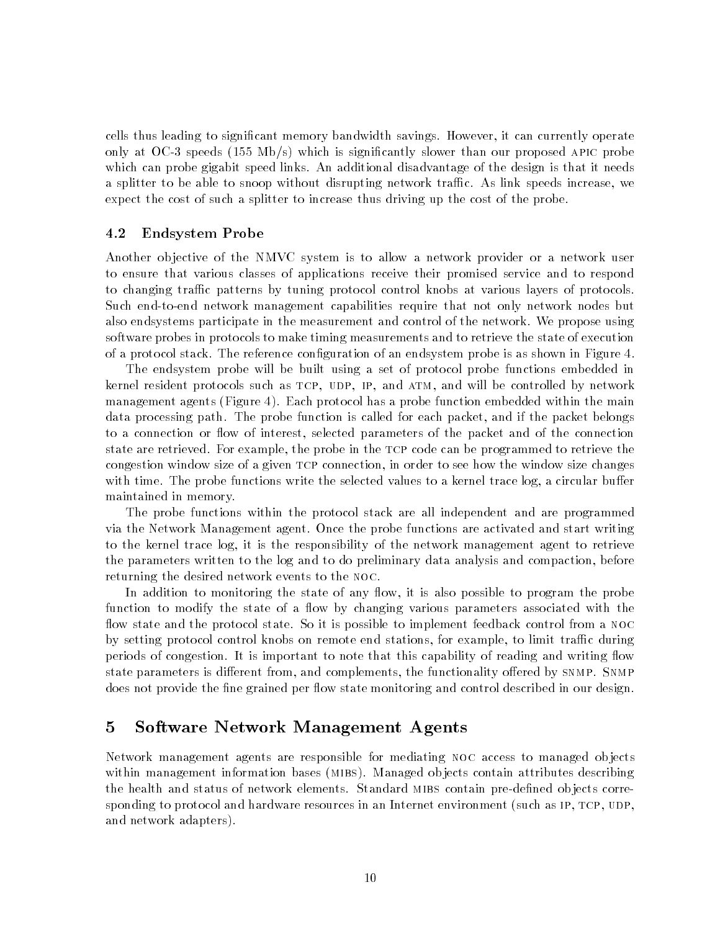cells thus leading to signicant memory bandwidth savings. However, it can currently operate only at OC-3 speeds (155 Mb/s) which is signicantly slower than our proposed apic probe which can probe gigabit speed links. An additional disadvantage of the design is that it needs a splitter to be able to snoop without disrupting network traffic. As link speeds increase, we expect the cost of such a splitter to increase thus driving up the cost of the probe.

#### 4.2 Endsystem Probe

Another objective of the NMVC system is to allow a network provider or a network user to ensure that various classes of applications receive their promised service and to respond to changing traffic patterns by tuning protocol control knobs at various layers of protocols. Such end-to-end network management capabilities require that not only network nodes but also endsystems participate in the measurement and control of the network. We propose using software probes in protocols to make timing measurements and to retrieve the state of execution of a protocol stack. The reference conguration of an endsystem probe is as shown in Figure 4.

The endsystem probe will be built using a set of protocol probe functions embedded in kernel resident protocols such as TCP, UDP, IP, and ATM, and will be controlled by network management agents (Figure 4). Each protocol has a probe function embedded within the main data processing path. The probe function is called for each packet, and if the packet belongs to a connection or flow of interest, selected parameters of the packet and of the connection state are retrieved. For example, the probe in the TCP code can be programmed to retrieve the congestion window size of a given  $TCP$  connection, in order to see how the window size changes with time. The probe functions write the selected values to a kernel trace log, a circular buffer maintained in memory.

The probe functions within the protocol stack are all independent and are programmed via the Network Management agent. Once the probe functions are activated and start writing to the kernel trace log, it is the responsibility of the network management agent to retrieve the parameters written to the log and to do preliminary data analysis and compaction, before returning the desired network events to the noc.

In addition to monitoring the state of any flow, it is also possible to program the probe function to modify the state of a flow by changing various parameters associated with the flow state and the protocol state. So it is possible to implement feedback control from a NOC by setting protocol control knobs on remote end stations, for example, to limit traffic during periods of congestion. It is important to note that this capability of reading and writing flow state parameters is different from, and complements, the functionality offered by SNMP. SNMP does not provide the fine grained per flow state monitoring and control described in our design.

### 5 Software Network Management Agents

Network management agents are responsible for mediating NOC access to managed objects within management information bases (MIBS). Managed objects contain attributes describing the health and status of network elements. Standard MIBS contain pre-defined objects corresponding to protocol and hardware resources in an Internet environment (such as 1P, TCP, UDP, and network adapters).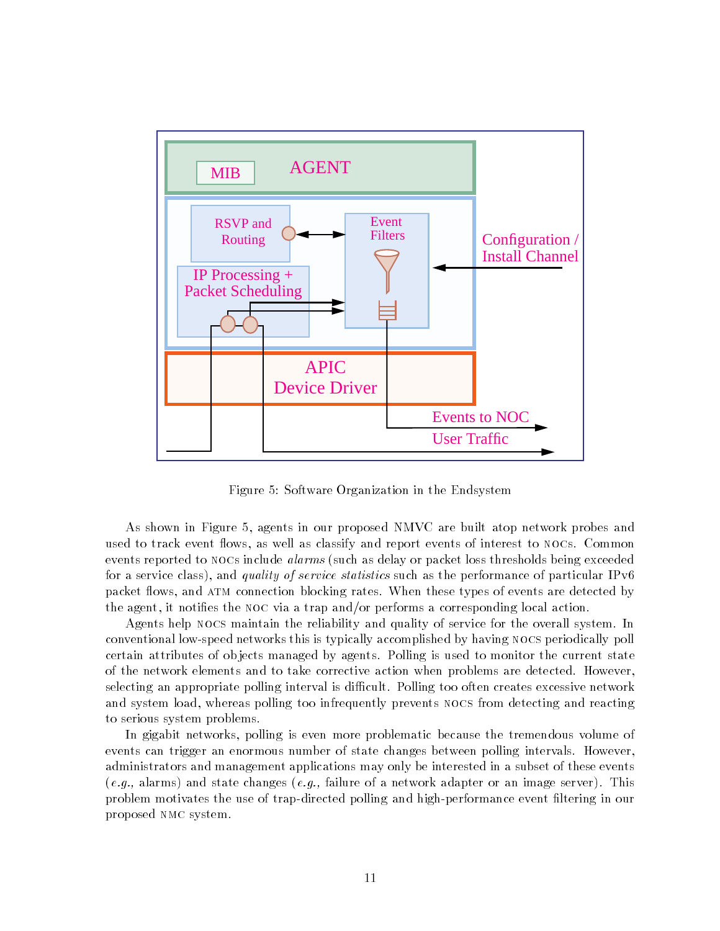

Figure 5: Software Organization in the Endsystem

As shown in Figure 5, agents in our proposed NMVC are built atop network probes and used to track event flows, as well as classify and report events of interest to NOCs. Common events reported to NOCs include *alarms* (such as delay or packet loss thresholds being exceeded for a service class), and *quality of service statistics* such as the performance of particular IPv6 packet flows, and ATM connection blocking rates. When these types of events are detected by the agent, it notifies the NOC via a trap and/or performs a corresponding local action.

Agents help nocs maintain the reliability and quality of service for the overall system. In conventional low-speed networks this is typically accomplished by having nocs periodically poll certain attributes of objects managed by agents. Polling is used to monitor the current state of the network elements and to take corrective action when problems are detected. However, selecting an appropriate polling interval is difficult. Polling too often creates excessive network and system load, whereas polling too infrequently prevents nocs from detecting and reacting to serious system problems.

In gigabit networks, polling is even more problematic because the tremendous volume of events can trigger an enormous number of state changes between polling intervals. However, administrators and management applications may only be interested in a subset of these events (e.g., alarms) and state changes (e.g., failure of a network adapter or an image server). This problem motivates the use of trap-directed polling and high-performance event ltering in our proposed nmc system.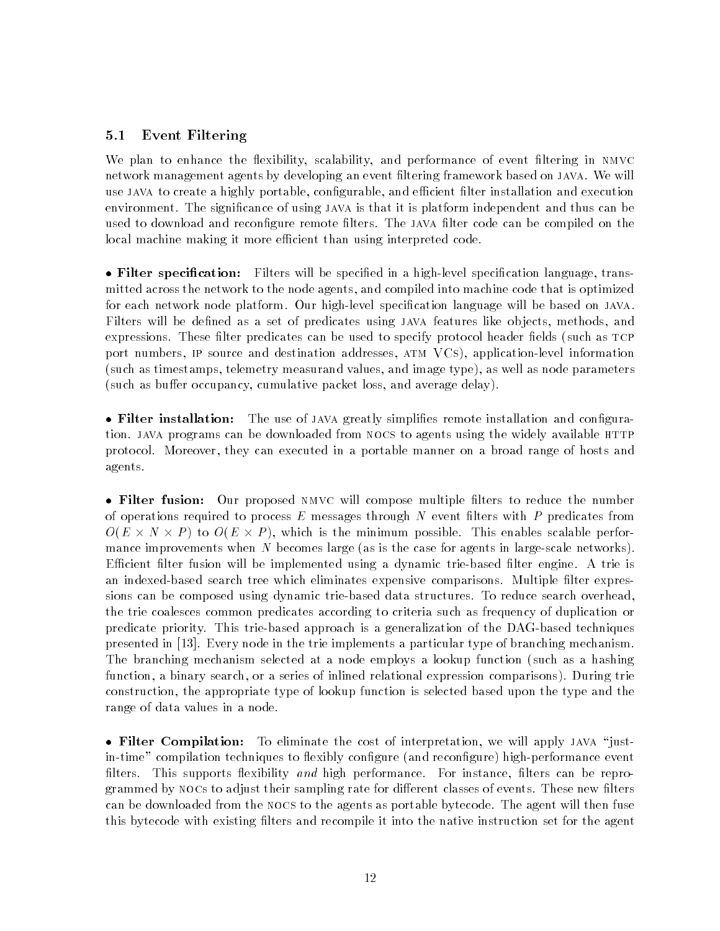#### 5.1 Event Filtering

We plan to enhance the flexibility, scalability, and performance of event filtering in NMVC network management agents by developing an event ltering framework based on java. We will use JAVA to create a highly portable, configurable, and efficient filter installation and execution environment. The significance of using JAVA is that it is platform independent and thus can be used to download and reconfigure remote filters. The JAVA filter code can be compiled on the local machine making it more efficient than using interpreted code.

• Filter specification: Filters will be specified in a high-level specification language, transmitted across the network to the node agents, and compiled into machine code that is optimized for each network node platform. Our high-level specication language will be based on java. Filters will be defined as a set of predicates using JAVA features like objects, methods, and expressions. These filter predicates can be used to specify protocol header fields (such as TCP port numbers, ip source and destination addresses, atm VCs), application-level information (such as timestamps, telemetry measurand values, and image type), as well as node parameters (such as buffer occupancy, cumulative packet loss, and average delay).

• Filter installation: The use of JAVA greatly simplifies remote installation and configuration. JAVA programs can be downloaded from NOCS to agents using the widely available HTTP protocol. Moreover, they can executed in a portable manner on a broad range of hosts and agents.

• Filter fusion: Our proposed NMVC will compose multiple filters to reduce the number of operations required to process  $E$  messages through  $N$  event filters with  $P$  predicates from O(E - <sup>N</sup> - <sup>P</sup> ) to O(E - <sup>P</sup> ), which is the minimum possible. This enables scalable performance improvements when <sup>N</sup> becomes large (as is the case for agents in large-scale networks). Efficient filter fusion will be implemented using a dynamic trie-based filter engine. A trie is an indexed-based search tree which eliminates expensive comparisons. Multiple filter expressions can be composed using dynamic trie-based data structures. To reduce search overhead, the trie coalesces common predicates according to criteria such as frequency of duplication or predicate priority. This trie-based approach is a generalization of the DAG-based techniques presented in [13]. Every node in the trie implements a particular type of branching mechanism. The branching mechanism selected at a node employs a lookup function (such as a hashing function, a binary search, or a series of inlined relational expression comparisons). During trie construction, the appropriate type of lookup function is selected based upon the type and the range of data values in a node.

• Filter Compilation: To eliminate the cost of interpretation, we will apply JAVA "justin-time" compilation techniques to flexibly configure (and reconfigure) high-performance event filters. This supports flexibility *and* high performance. For instance, filters can be reprogrammed by NOCs to adjust their sampling rate for different classes of events. These new filters can be downloaded from the nocs to the agents as portable bytecode. The agent will then fuse this bytecode with existing filters and recompile it into the native instruction set for the agent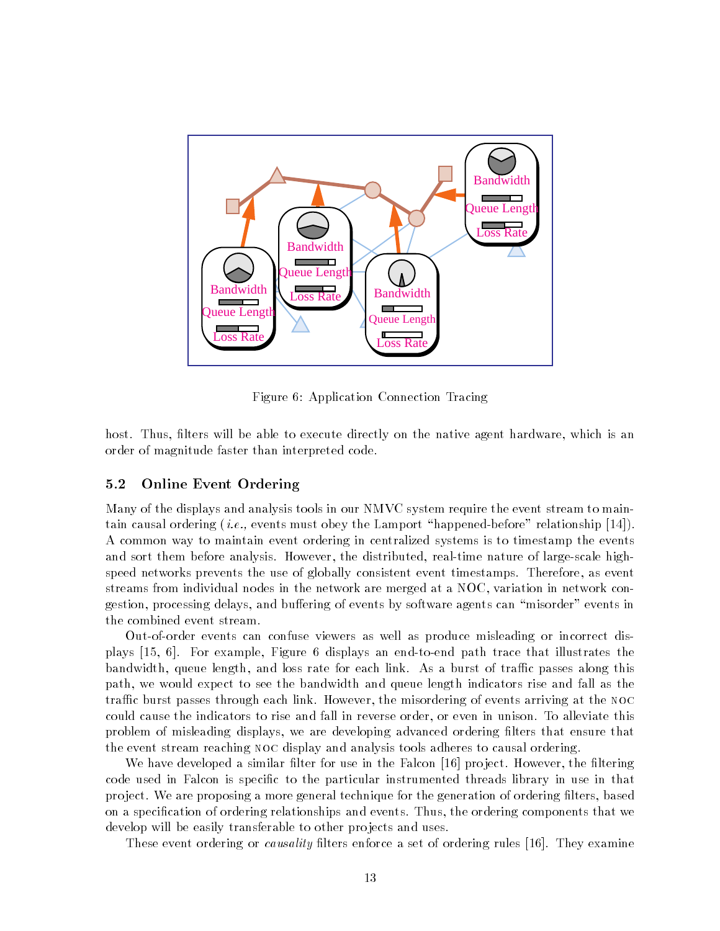

Figure 6: Application Connection Tracing

host. Thus, filters will be able to execute directly on the native agent hardware, which is an order of magnitude faster than interpreted code.

#### 5.2 Online Event Ordering

Many of the displays and analysis tools in our NMVC system require the event stream to maintain causal ordering (i.e., events must obey the Lamport "happened-before" relationship [14]). A common way to maintain event ordering in centralized systems is to timestamp the events and sort them before analysis. However, the distributed, real-time nature of large-scale highspeed networks prevents the use of globally consistent event timestamps. Therefore, as event streams from individual nodes in the network are merged at a NOC, variation in network congestion, processing delays, and buffering of events by software agents can "misorder" events in the combined event stream.

Out-of-order events can confuse viewers as well as produce misleading or incorrect displays [15, 6]. For example, Figure 6 displays an end-to-end path trace that illustrates the bandwidth, queue length, and loss rate for each link. As a burst of traffic passes along this path, we would expect to see the bandwidth and queue length indicators rise and fall as the traffic burst passes through each link. However, the misordering of events arriving at the NOC could cause the indicators to rise and fall in reverse order, or even in unison. To alleviate this problem of misleading displays, we are developing advanced ordering lters that ensure that the event stream reaching noc display and analysis tools adheres to causal ordering.

We have developed a similar filter for use in the Falcon [16] project. However, the filtering code used in Falcon is specic to the particular instrumented threads library in use in that project. We are proposing a more general technique for the generation of ordering filters, based on a specication of ordering relationships and events. Thus, the ordering components that we develop will be easily transferable to other projects and uses.

These event ordering or *causality* filters enforce a set of ordering rules [16]. They examine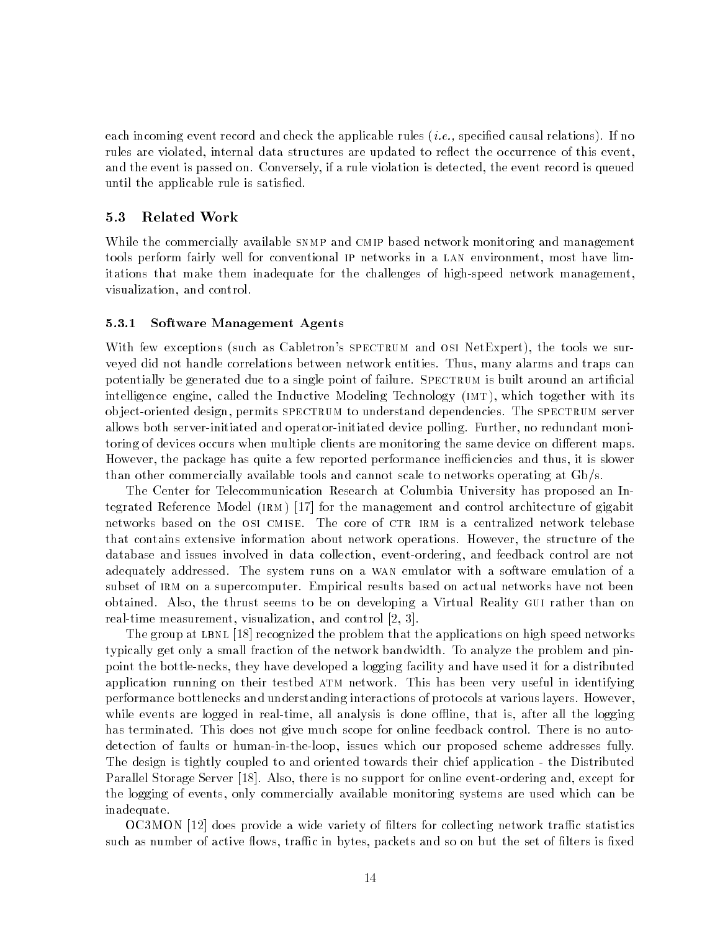each incoming event record and check the applicable rules  $(i.e., specified causal relations)$ . If no rules are violated, internal data structures are updated to reflect the occurrence of this event. and the event is passed on. Conversely, if a rule violation is detected, the event record is queued until the applicable rule is satisfied.

#### 5.3 Related Work

While the commercially available SNMP and CMIP based network monitoring and management tools perform fairly well for conventional ip networks in a lan environment, most have limitations that make them inadequate for the challenges of high-speed network management, visualization, and control.

#### 5.3.1 Software Management Agents

With few exceptions (such as Cabletron's spectrum and osi NetExpert), the tools we surveyed did not handle correlations between network entities. Thus, many alarms and traps can potentially be generated due to a single point of failure. SPECTRUM is built around an artificial intelligence engine, called the Inductive Modeling Technology (imt), which together with its ob ject-oriented design, permits spectrum to understand dependencies. The spectrum server allows both server-initiated and operator-initiated device polling. Further, no redundant monitoring of devices occurs when multiple clients are monitoring the same device on different maps. However, the package has quite a few reported performance inefficiencies and thus, it is slower than other commercially available tools and cannot scale to networks operating at Gb/s.

The Center for Telecommunication Research at Columbia University has proposed an Integrated Reference Model (irm) [17] for the management and control architecture of gigabit networks based on the OSI CMISE. The core of CTR IRM is a centralized network telebase that contains extensive information about network operations. However, the structure of the database and issues involved in data collection, event-ordering, and feedback control are not adequately addressed. The system runs on a wan emulator with a software emulation of a subset of IRM on a supercomputer. Empirical results based on actual networks have not been obtained. Also, the thrust seems to be on developing a Virtual Reality gui rather than on real-time measurement, visualization, and control [2, 3].

The group at LBNL [18] recognized the problem that the applications on high speed networks typically get only a small fraction of the network bandwidth. To analyze the problem and pinpoint the bottle-necks, they have developed a logging facility and have used it for a distributed application running on their testbed ATM network. This has been very useful in identifying performance bottlenecks and understanding interactions of protocols at various layers. However, while events are logged in real-time, all analysis is done offline, that is, after all the logging has terminated. This does not give much scope for online feedback control. There is no autodetection of faults or human-in-the-loop, issues which our proposed scheme addresses fully. The design is tightly coupled to and oriented towards their chief application - the Distributed Parallel Storage Server [18]. Also, there is no support for online event-ordering and, except for the logging of events, only commercially available monitoring systems are used which can be inadequate.

 $OCSMON$  [12] does provide a wide variety of filters for collecting network traffic statistics such as number of active flows, traffic in bytes, packets and so on but the set of filters is fixed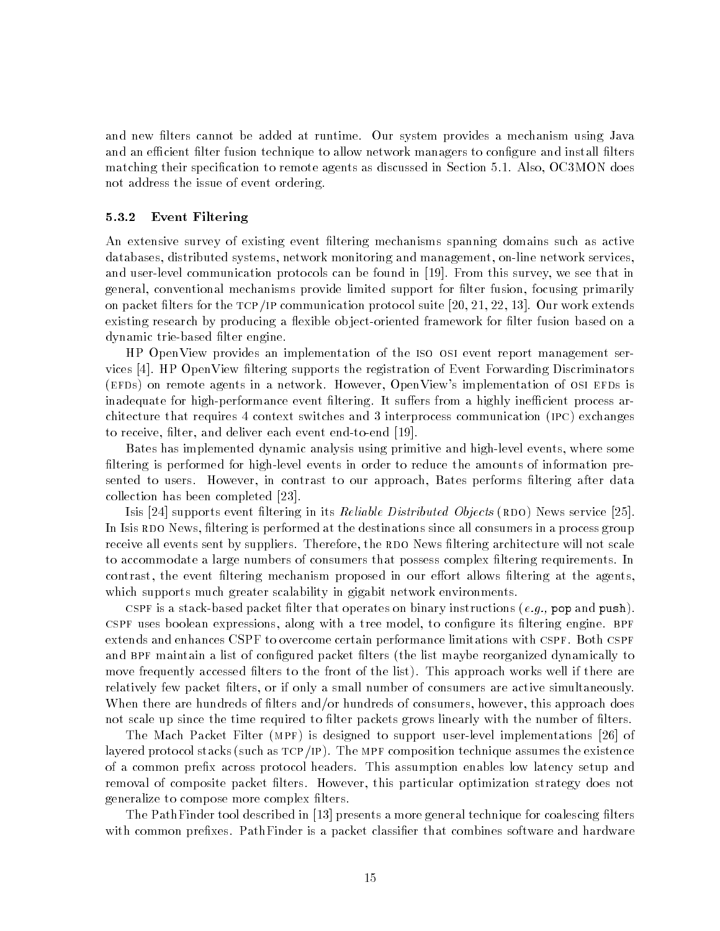and new filters cannot be added at runtime. Our system provides a mechanism using Java and an efficient filter fusion technique to allow network managers to configure and install filters matching their specication to remote agents as discussed in Section 5.1. Also, OC3MON does not address the issue of event ordering.

#### 5.3.2 Event Filtering

An extensive survey of existing event ltering mechanisms spanning domains such as active databases, distributed systems, network monitoring and management, on-line network services, and user-level communication protocols can be found in [19]. From this survey, we see that in general, conventional mechanisms provide limited support for lter fusion, focusing primarily on packet filters for the  $TCP/IP$  communication protocol suite [20, 21, 22, 13]. Our work extends existing research by producing a flexible object-oriented framework for filter fusion based on a dynamic trie-based lter engine.

HP OpenView provides an implementation of the iso osi event report management services [4]. HP OpenView filtering supports the registration of Event Forwarding Discriminators (EFDs) on remote agents in a network. However, OpenView's implementation of  $\circ$ SI EFDs is inadequate for high-performance event filtering. It suffers from a highly inefficient process architecture that requires 4 context switches and 3 interprocess communication (ipc) exchanges to receive, filter, and deliver each event end-to-end [19].

Bates has implemented dynamic analysis using primitive and high-level events, where some filtering is performed for high-level events in order to reduce the amounts of information presented to users. However, in contrast to our approach, Bates performs filtering after data collection has been completed [23].

Isis [24] supports event filtering in its *Reliable Distributed Objects* (RDO) News service [25]. In Isis RDO News, filtering is performed at the destinations since all consumers in a process group receive all events sent by suppliers. Therefore, the RDO News filtering architecture will not scale to accommodate a large numbers of consumers that possess complex filtering requirements. In contrast, the event filtering mechanism proposed in our effort allows filtering at the agents. which supports much greater scalability in gigabit network environments.

CSPF is a stack-based packet filter that operates on binary instructions (e.g., pop and push). CSPF uses boolean expressions, along with a tree model, to configure its filtering engine. BPF extends and enhances CSPF to overcome certain performance limitations with CSPF. Both CSPF and BPF maintain a list of configured packet filters (the list maybe reorganized dynamically to move frequently accessed filters to the front of the list). This approach works well if there are relatively few packet lters, or if only a small number of consumers are active simultaneously. When there are hundreds of filters and/or hundreds of consumers, however, this approach does not scale up since the time required to filter packets grows linearly with the number of filters.

The Mach Packet Filter (mpf) is designed to support user-level implementations [26] of layered protocol stacks (such as  $TCP/IP$ ). The MPF composition technique assumes the existence of a common prefix across protocol headers. This assumption enables low latency setup and removal of composite packet filters. However, this particular optimization strategy does not generalize to compose more complex lters.

The PathFinder tool described in [13] presents a more general technique for coalescing lters with common prefixes. PathFinder is a packet classifier that combines software and hardware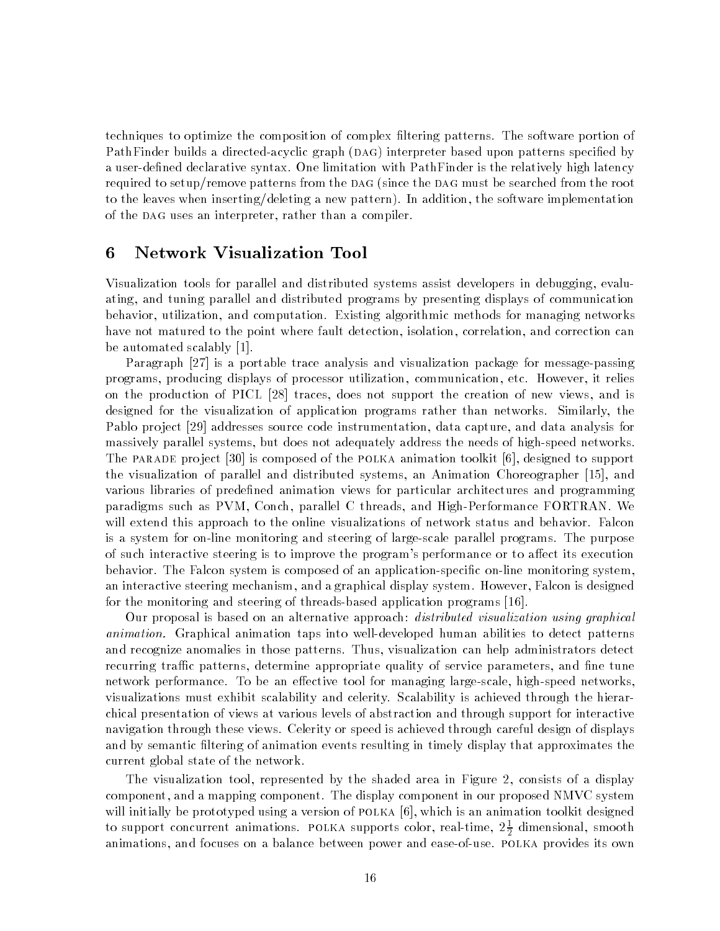techniques to optimize the composition of complex ltering patterns. The software portion of PathFinder builds a directed-acyclic graph (DAG) interpreter based upon patterns specified by a user-defined declarative syntax. One limitation with PathFinder is the relatively high latency required to setup/remove patterns from the DAG (since the DAG must be searched from the root to the leaves when inserting/deleting a new pattern). In addition, the software implementation of the DAG uses an interpreter, rather than a compiler.

### 6 Network Visualization Tool

Visualization tools for parallel and distributed systems assist developers in debugging, evaluating, and tuning parallel and distributed programs by presenting displays of communication behavior, utilization, and computation. Existing algorithmic methods for managing networks have not matured to the point where fault detection, isolation, correlation, and correction can be automated scalably [1].

Paragraph [27] is a portable trace analysis and visualization package for message-passing programs, producing displays of processor utilization, communication, etc. However, it relies on the production of PICL [28] traces, does not support the creation of new views, and is designed for the visualization of application programs rather than networks. Similarly, the Pablo project [29] addresses source code instrumentation, data capture, and data analysis for massively parallel systems, but does not adequately address the needs of high-speed networks. The PARADE project [30] is composed of the POLKA animation toolkit  $[6]$ , designed to support the visualization of parallel and distributed systems, an Animation Choreographer [15], and various libraries of predened animation views for particular architectures and programming paradigms such as PVM, Conch, parallel C threads, and High-Performance FORTRAN. We will extend this approach to the online visualizations of network status and behavior. Falcon is a system for on-line monitoring and steering of large-scale parallel programs. The purpose of such interactive steering is to improve the program's performance or to affect its execution behavior. The Falcon system is composed of an application-specic on-line monitoring system, an interactive steering mechanism, and a graphical display system. However, Falcon is designed for the monitoring and steering of threads-based application programs [16].

Our proposal is based on an alternative approach: distributed visualization using graphical animation. Graphical animation taps into well-developed human abilities to detect patterns and recognize anomalies in those patterns. Thus, visualization can help administrators detect recurring traffic patterns, determine appropriate quality of service parameters, and fine tune network performance. To be an effective tool for managing large-scale, high-speed networks. visualizations must exhibit scalability and celerity. Scalability is achieved through the hierarchical presentation of views at various levels of abstraction and through support for interactive navigation through these views. Celerity or speed is achieved through careful design of displays and by semantic ltering of animation events resulting in timely display that approximates the current global state of the network.

The visualization tool, represented by the shaded area in Figure 2, consists of a display component, and a mapping component. The display component in our proposed NMVC system will initially be prototyped using a version of POLKA [6], which is an animation toolkit designed to support concurrent animations. POLKA supports color, real-time,  $2\frac{\star}{2}$  dimensional, smooth animations, and focuses on a balance between power and ease-of-use. polka provides its own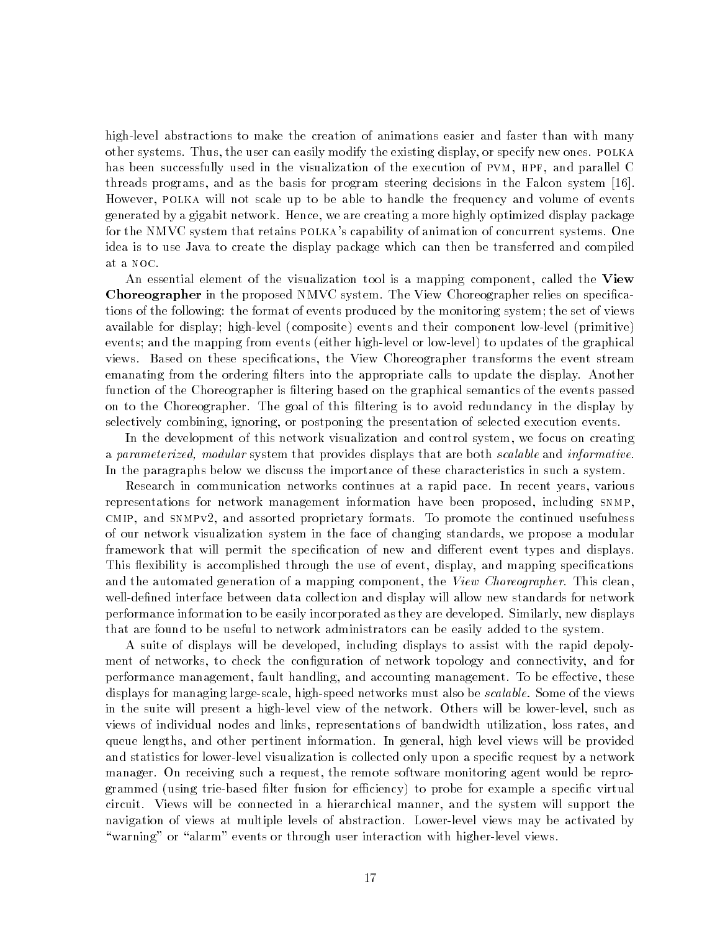high-level abstractions to make the creation of animations easier and faster than with many other systems. Thus, the user can easily modify the existing display, or specify new ones. polka has been successfully used in the visualization of the execution of PVM, HPF, and parallel C threads programs, and as the basis for program steering decisions in the Falcon system [16]. However, polka will not scale up to be able to handle the frequency and volume of events generated by a gigabit network. Hence, we are creating a more highly optimized display package for the NMVC system that retains polka's capability of animation of concurrent systems. One idea is to use Java to create the display package which can then be transferred and compiled at a noc.

An essential element of the visualization tool is a mapping component, called the View Choreographer in the proposed NMVC system. The View Choreographer relies on specications of the following: the format of events produced by the monitoring system; the set of views available for display; high-level (composite) events and their component low-level (primitive) events; and the mapping from events (either high-level or low-level) to updates of the graphical views. Based on these specications, the View Choreographer transforms the event stream emanating from the ordering lters into the appropriate calls to update the display. Another function of the Choreographer is ltering based on the graphical semantics of the events passed on to the Choreographer. The goal of this ltering is to avoid redundancy in the display by selectively combining, ignoring, or postponing the presentation of selected execution events.

In the development of this network visualization and control system, we focus on creating a parameterized, modular system that provides displays that are both scalable and informative. In the paragraphs below we discuss the importance of these characteristics in such a system.

Research in communication networks continues at a rapid pace. In recent years, various representations for network management information have been proposed, including snmp, cmip, and snmpv2, and assorted proprietary formats. To promote the continued usefulness of our network visualization system in the face of changing standards, we propose a modular framework that will permit the specification of new and different event types and displays. This flexibility is accomplished through the use of event, display, and mapping specifications and the automated generation of a mapping component, the View Choreographer. This clean, well-defined interface between data collection and display will allow new standards for network performance information to be easily incorporated as they are developed. Similarly, new displays that are found to be useful to network administrators can be easily added to the system.

A suite of displays will be developed, including displays to assist with the rapid depolyment of networks, to check the conguration of network topology and connectivity, and for performance management, fault handling, and accounting management. To be effective, these displays for managing large-scale, high-speed networks must also be *scalable*. Some of the views in the suite will present a high-level view of the network. Others will be lower-level, such as views of individual nodes and links, representations of bandwidth utilization, loss rates, and queue lengths, and other pertinent information. In general, high level views will be provided and statistics for lower-level visualization is collected only upon a specic request by a network manager. On receiving such a request, the remote software monitoring agent would be reprogrammed (using trie-based filter fusion for efficiency) to probe for example a specific virtual circuit. Views will be connected in a hierarchical manner, and the system will support the navigation of views at multiple levels of abstraction. Lower-level views may be activated by "warning" or "alarm" events or through user interaction with higher-level views.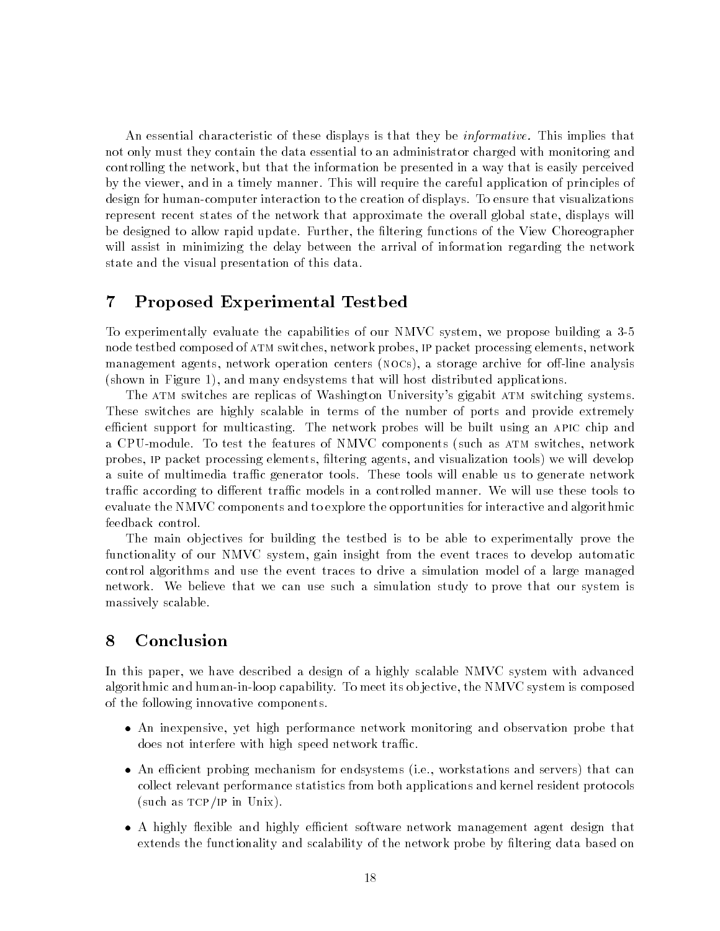An essential characteristic of these displays is that they be informative. This implies that not only must they contain the data essential to an administrator charged with monitoring and controlling the network, but that the information be presented in a way that is easily perceived by the viewer, and in a timely manner. This will require the careful application of principles of design for human-computer interaction to the creation of displays. To ensure that visualizations represent recent states of the network that approximate the overall global state, displays will be designed to allow rapid update. Further, the ltering functions of the View Choreographer will assist in minimizing the delay between the arrival of information regarding the network state and the visual presentation of this data.

### 7 Proposed Experimental Testbed

To experimentally evaluate the capabilities of our NMVC system, we propose building a 3-5 node testbed composed of atm switches, network probes, ip packet processing elements, network management agents, network operation centers (NOCs), a storage archive for off-line analysis (shown in Figure 1), and many endsystems that will host distributed applications.

The ATM switches are replicas of Washington University's gigabit ATM switching systems. These switches are highly scalable in terms of the number of ports and provide extremely efficient support for multicasting. The network probes will be built using an APIC chip and a CPU-module. To test the features of NMVC components (such as atm switches, network probes, IP packet processing elements, filtering agents, and visualization tools) we will develop a suite of multimedia traffic generator tools. These tools will enable us to generate network traffic according to different traffic models in a controlled manner. We will use these tools to evaluate the NMVC components and to explore the opportunities for interactive and algorithmic feedback control.

The main ob jectives for building the testbed is to be able to experimentally prove the functionality of our NMVC system, gain insight from the event traces to develop automatic control algorithms and use the event traces to drive a simulation model of a large managed network. We believe that we can use such a simulation study to prove that our system is massively scalable.

### 8 Conclusion

In this paper, we have described a design of a highly scalable NMVC system with advanced algorithmic and human-in-loop capability. To meet its ob jective, the NMVC system is composed of the following innovative components.

- An inexpensive, yet high performance network monitoring and observation probe that does not interfere with high speed network traffic.
- An efficient probing mechanism for endsystems (i.e., workstations and servers) that can collect relevant performance statistics from both applications and kernel resident protocols (such as  $TCP/IP$  in Unix).
- A highly flexible and highly efficient software network management agent design that extends the functionality and scalability of the network probe by ltering data based on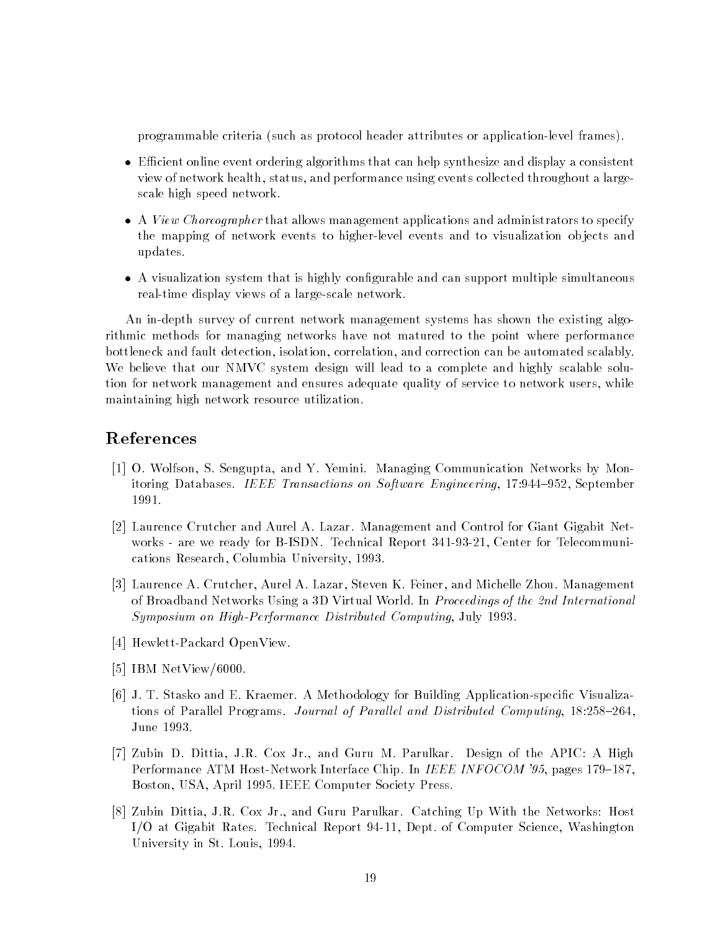programmable criteria (such as protocol header attributes or application-level frames).

- Ecient online event ordering algorithms that can help synthesize and display a consistent view of network health, status, and performance using events collected throughout a largescale high speed network.
- A View Choreographer that allows management applications and administrators to specify the mapping of network events to higher-level events and to visualization ob jects and updates.
- A visualization system that is highly configurable and can support multiple simultaneous real-time display views of a large-scale network.

An in-depth survey of current network management systems has shown the existing algorithmic methods for managing networks have not matured to the point where performance bottleneck and fault detection, isolation, correlation, and correction can be automated scalably. We believe that our NMVC system design will lead to a complete and highly scalable solution for network management and ensures adequate quality of service to network users, while maintaining high network resource utilization.

### References

- [1] O. Wolfson, S. Sengupta, and Y. Yemini. Managing Communication Networks by Monitoring Databases. IEEE Transactions on Software Engineering, 17:944-952, September 1991.
- [2] Laurence Crutcher and Aurel A. Lazar. Management and Control for Giant Gigabit Networks - are we ready for B-ISDN. Technical Report 341-93-21, Center for Telecommunications Research, Columbia University, 1993.
- [3] Laurence A. Crutcher, Aurel A. Lazar, Steven K. Feiner, and Michelle Zhou. Management of Broadband Networks Using a 3D Virtual World. In Proceedings of the 2nd International Symposium on High-Performance Distributed Computing, July 1993.
- [4] Hewlett-Packard OpenView.
- [5] IBM NetView/6000.
- [6] J. T. Stasko and E. Kraemer. A Methodology for Building Application-specic Visualizations of Parallel Programs. Journal of Parallel and Distributed Computing, 18:258-264, June 1993.
- [7] Zubin D. Dittia, J.R. Cox Jr., and Guru M. Parulkar. Design of the APIC: A High Performance ATM Host-Network Interface Chip. In IEEE INFOCOM '95, pages 179-187 Boston, USA, April 1995. IEEE Computer Society Press.
- [8] Zubin Dittia, J.R. Cox Jr., and Guru Parulkar. Catching Up With the Networks: Host I/O at Gigabit Rates. Technical Report 94-11, Dept. of Computer Science, Washington University in St. Louis, 1994.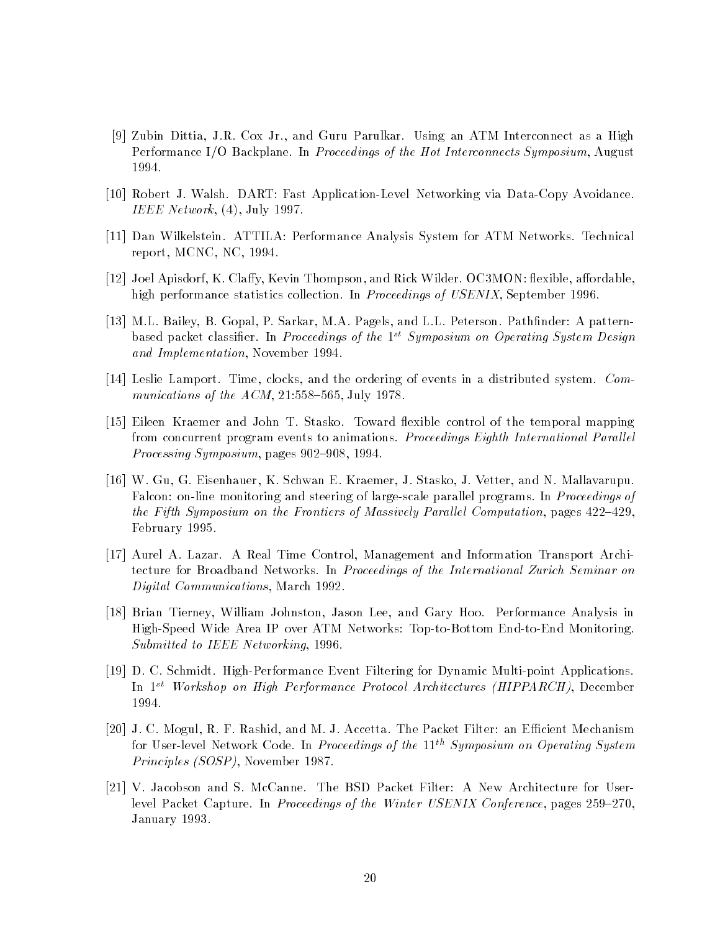- [9] Zubin Dittia, J.R. Cox Jr., and Guru Parulkar. Using an ATM Interconnect as a High Performance I/O Backplane. In Proceedings of the Hot Interconnects Symposium, August 1994.
- [10] Robert J. Walsh. DART: Fast Application-Level Networking via Data-Copy Avoidance. IEEE Network, (4), July 1997.
- [11] Dan Wilkelstein. ATTILA: Performance Analysis System for ATM Networks. Technical report, MCNC, NC, 1994.
- [12] Joel Apisdorf, K. Claffy, Kevin Thompson, and Rick Wilder. OC3MON: flexible, affordable, high performance statistics collection. In *Proceedings of USENIX*, September 1996.
- [13] M.L. Bailey, B. Gopal, P. Sarkar, M.A. Pagels, and L.L. Peterson. Pathnder: A patternbased packet classifier. In Proceedings of the  $1^{st}$  Symposium on Operating System Design and Implementation, November 1994.
- [14] Leslie Lamport. Time, clocks, and the ordering of events in a distributed system. Communications of the  $ACM$ , 21:558-565, July 1978.
- [15] Eileen Kraemer and John T. Stasko. Toward flexible control of the temporal mapping from concurrent program events to animations. Proceedings Eighth International Parallel Processing Symposium, pages  $902{-}908$ , 1994.
- [16] W. Gu, G. Eisenhauer, K. Schwan E. Kraemer, J. Stasko, J. Vetter, and N. Mallavarupu. Falcon: on-line monitoring and steering of large-scale parallel programs. In Proceedings of the Fifth Symposium on the Frontiers of Massively Parallel Computation, pages  $422{-}429$ . February 1995.
- [17] Aurel A. Lazar. A Real Time Control, Management and Information Transport Architecture for Broadband Networks. In Proceedings of the International Zurich Seminar on Digital Communications, March 1992.
- [18] Brian Tierney, William Johnston, Jason Lee, and Gary Hoo. Performance Analysis in High-Speed Wide Area IP over ATM Networks: Top-to-Bottom End-to-End Monitoring. Submitted to IEEE Networking, 1996.
- [19] D. C. Schmidt. High-Performance Event Filtering for Dynamic Multi-point Applications. In 1st Workshop on High Performance Protocol Architectures (HIPPARCH), December 1994.
- [20] J. C. Mogul, R. F. Rashid, and M. J. Accetta. The Packet Filter: an Efficient Mechanism for User-level Network Code. In Proceedings of the  $11^{th}$  Symposium on Operating System Principles (SOSP), November 1987.
- [21] V. Jacobson and S. McCanne. The BSD Packet Filter: A New Architecture for Userlevel Packet Capture. In *Proceedings of the Winter USENIX Conference*, pages  $259-270$ January 1993.